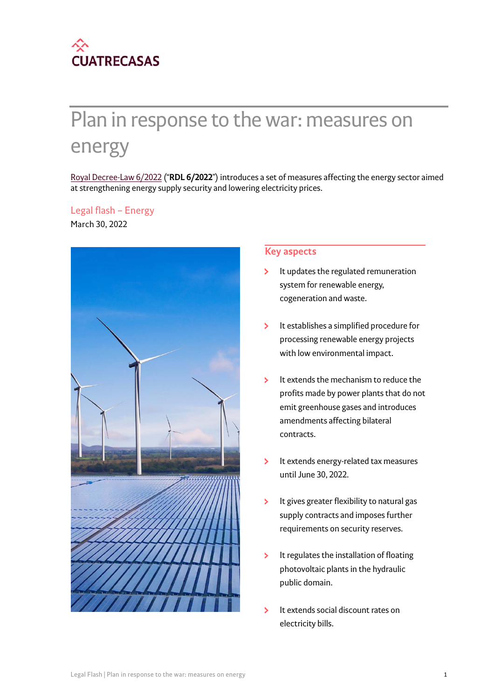

# Plan in response to the war: measures on energy

[Royal Decree-Law 6/2022](https://www.boe.es/boe/dias/2022/03/30/pdfs/BOE-A-2022-4972.pdf) ("**RDL 6/2022**") introduces a set of measures affecting the energy sector aimed at strengthening energy supply security and lowering electricity prices.

#### Legal flash – Energy

March 30, 2022



#### **Key aspects**

- It updates the regulated remuneration system for renewable energy, cogeneration and waste.
- $\overline{\phantom{a}}$ It establishes a simplified procedure for processing renewable energy projects with low environmental impact.
- $\overline{\phantom{a}}$ It extends the mechanism to reduce the profits made by power plants that do not emit greenhouse gases and introduces amendments affecting bilateral contracts.
- It extends energy-related tax measures У until June 30, 2022.
- $\overline{\phantom{a}}$ It gives greater flexibility to natural gas supply contracts and imposes further requirements on security reserves.
- $\overline{\phantom{a}}$ It regulates the installation of floating photovoltaic plants in the hydraulic public domain.
- $\overline{\phantom{a}}$ It extends social discount rates on electricity bills.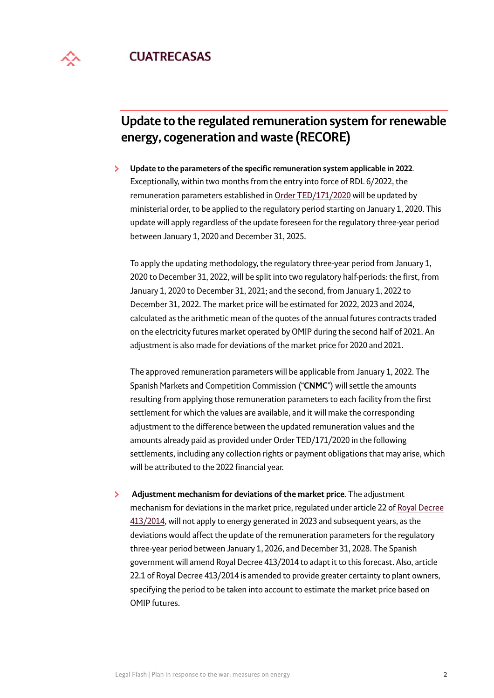

# **Update to the regulated remuneration system for renewable energy, cogeneration and waste (RECORE)**

 $\mathbf{S}$ **Update to the parameters of the specific remuneration system applicable in 2022***.*  Exceptionally, within two months from the entry into force of RDL 6/2022, the remuneration parameters established in [Order TED/171/2020](https://www.boe.es/boe/dias/2020/02/28/pdfs/BOE-A-2020-2838.pdf) will be updated by ministerial order, to be applied to the regulatory period starting on January 1, 2020. This update will apply regardless of the update foreseen for the regulatory three-year period between January 1, 2020 and December 31, 2025.

To apply the updating methodology, the regulatory three-year period from January 1, 2020 to December 31, 2022, will be split into two regulatory half-periods: the first, from January 1, 2020 to December 31, 2021; and the second, from January 1, 2022 to December 31, 2022. The market price will be estimated for 2022, 2023 and 2024, calculated as the arithmetic mean of the quotes of the annual futures contracts traded on the electricity futures market operated by OMIP during the second half of 2021. An adjustment is also made for deviations of the market price for 2020 and 2021.

The approved remuneration parameters will be applicable from January 1, 2022. The Spanish Markets and Competition Commission ("**CNMC**") will settle the amounts resulting from applying those remuneration parameters to each facility from the first settlement for which the values are available, and it will make the corresponding adjustment to the difference between the updated remuneration values and the amounts already paid as provided under Order TED/171/2020 in the following settlements, including any collection rights or payment obligations that may arise, which will be attributed to the 2022 financial year.

 $\mathbf{S}$  **Adjustment mechanism for deviations of the market price**. The adjustment mechanism for deviations in the market price, regulated under article 22 of [Royal Decree](https://www.boe.es/eli/es/rd/2014/06/06/413/con)  [413/2014](https://www.boe.es/eli/es/rd/2014/06/06/413/con), will not apply to energy generated in 2023 and subsequent years, as the deviations would affect the update of the remuneration parameters for the regulatory three-year period between January 1, 2026, and December 31, 2028. The Spanish government will amend Royal Decree 413/2014 to adapt it to this forecast. Also, article 22.1 of Royal Decree 413/2014 is amended to provide greater certainty to plant owners, specifying the period to be taken into account to estimate the market price based on OMIP futures.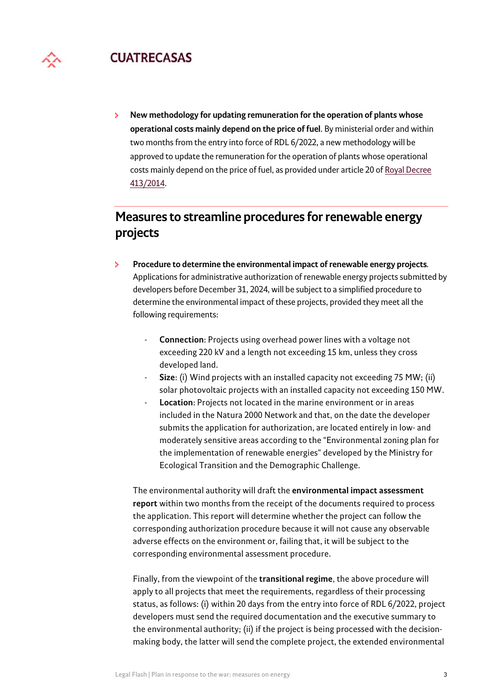

 $\mathbf{S}$ **New methodology for updating remuneration for the operation of plants whose operational costs mainly depend on the price of fuel**. By ministerial order and within two months from the entry into force of RDL 6/2022, a new methodology will be approved to update the remuneration for the operation of plants whose operational costs mainly depend on the price of fuel, as provided under article 20 of [Royal Decree](https://www.boe.es/eli/es/rd/2014/06/06/413/con)  [413/2014](https://www.boe.es/eli/es/rd/2014/06/06/413/con).

# **Measures to streamline procedures for renewable energy projects**

- У **Procedure to determine the environmental impact of renewable energy projects***.*  Applications for administrative authorization of renewable energy projects submitted by developers before December 31, 2024, will be subject to a simplified procedure to determine the environmental impact of these projects, provided they meet all the following requirements:
	- **Connection**: Projects using overhead power lines with a voltage not exceeding 220 kV and a length not exceeding 15 km, unless they cross developed land.
	- **Size**: (i) Wind projects with an installed capacity not exceeding 75 MW; (ii) solar photovoltaic projects with an installed capacity not exceeding 150 MW.
	- Location: Projects not located in the marine environment or in areas included in the Natura 2000 Network and that, on the date the developer submits the application for authorization, are located entirely in low- and moderately sensitive areas according to the "Environmental zoning plan for the implementation of renewable energies" developed by the Ministry for Ecological Transition and the Demographic Challenge.

The environmental authority will draft the **environmental impact assessment report** within two months from the receipt of the documents required to process the application. This report will determine whether the project can follow the corresponding authorization procedure because it will not cause any observable adverse effects on the environment or, failing that, it will be subject to the corresponding environmental assessment procedure.

Finally, from the viewpoint of the **transitional regime**, the above procedure will apply to all projects that meet the requirements, regardless of their processing status, as follows: (i) within 20 days from the entry into force of RDL 6/2022, project developers must send the required documentation and the executive summary to the environmental authority; (ii) if the project is being processed with the decisionmaking body, the latter will send the complete project, the extended environmental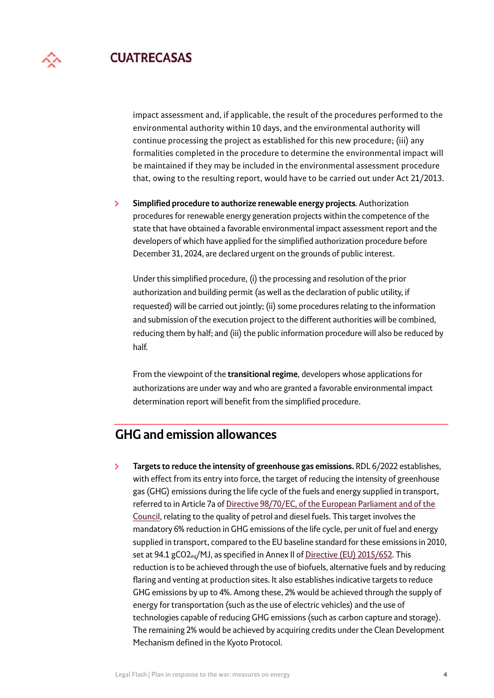impact assessment and, if applicable, the result of the procedures performed to the environmental authority within 10 days, and the environmental authority will continue processing the project as established for this new procedure; (iii) any formalities completed in the procedure to determine the environmental impact will be maintained if they may be included in the environmental assessment procedure that, owing to the resulting report, would have to be carried out under Act 21/2013.

 $\mathbf{\Sigma}$ **Simplified procedure to authorize renewable energy projects***.* Authorization procedures for renewable energy generation projects within the competence of the state that have obtained a favorable environmental impact assessment report and the developers of which have applied for the simplified authorization procedure before December 31, 2024, are declared urgent on the grounds of public interest.

Under this simplified procedure, (i) the processing and resolution of the prior authorization and building permit (as well as the declaration of public utility, if requested) will be carried out jointly; (ii) some procedures relating to the information and submission of the execution project to the different authorities will be combined, reducing them by half; and (iii) the public information procedure will also be reduced by half.

From the viewpoint of the **transitional regime**, developers whose applications for authorizations are under way and who are granted a favorable environmental impact determination report will benefit from the simplified procedure.

# **GHG and emission allowances**

**Targets to reduce the intensity of greenhouse gas emissions.** RDL 6/2022 establishes, У with effect from its entry into force, the target of reducing the intensity of greenhouse gas (GHG) emissions during the life cycle of the fuels and energy supplied in transport, referred to in Article 7a of [Directive 98/70/EC, of the European Parliament and of the](http://data.europa.eu/eli/dir/1998/70/oj)  [Council](http://data.europa.eu/eli/dir/1998/70/oj), relating to the quality of petrol and diesel fuels. This target involves the mandatory 6% reduction in GHG emissions of the life cycle, per unit of fuel and energy supplied in transport, compared to the EU baseline standard for these emissions in 2010, set at 94.1 gCO2eq/MJ, as specified in Annex II of [Directive \(EU\) 2015/652](http://data.europa.eu/eli/dir/2015/652/oj). This reduction is to be achieved through the use of biofuels, alternative fuels and by reducing flaring and venting at production sites. It also establishes indicative targets to reduce GHG emissions by up to 4%. Among these, 2% would be achieved through the supply of energy for transportation (such as the use of electric vehicles) and the use of technologies capable of reducing GHG emissions (such as carbon capture and storage). The remaining 2% would be achieved by acquiring credits under the Clean Development Mechanism defined in the Kyoto Protocol.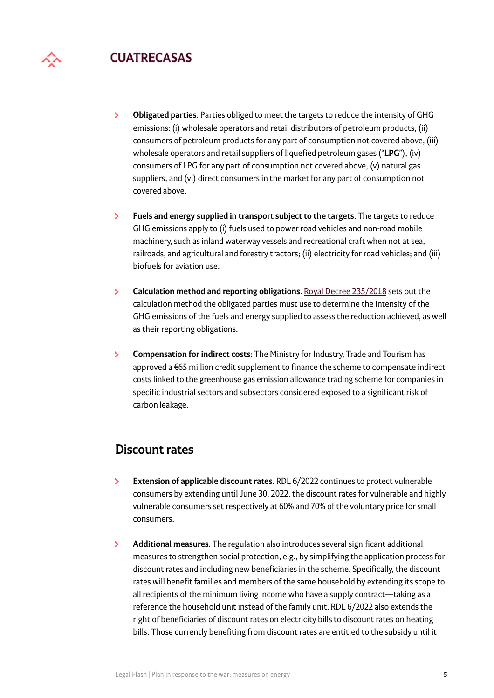

- $\mathbf{S}$ **Obligated parties**. Parties obliged to meet the targets to reduce the intensity of GHG emissions: (i) wholesale operators and retail distributors of petroleum products, (ii) consumers of petroleum products for any part of consumption not covered above, (iii) wholesale operators and retail suppliers of liquefied petroleum gases ("**LPG**"), (iv) consumers of LPG for any part of consumption not covered above, (v) natural gas suppliers, and (vi) direct consumers in the market for any part of consumption not covered above.
- **Fuels and energy supplied in transport subject to the targets**. The targets to reduce  $\mathbf{v}$ GHG emissions apply to (i) fuels used to power road vehicles and non-road mobile machinery, such as inland waterway vessels and recreational craft when not at sea, railroads, and agricultural and forestry tractors; (ii) electricity for road vehicles; and (iii) biofuels for aviation use.
- ×. **Calculation method and reporting obligations**. [Royal Decree 235/2018](https://www.boe.es/eli/es/rd/2018/04/27/235/con) sets out the calculation method the obligated parties must use to determine the intensity of the GHG emissions of the fuels and energy supplied to assess the reduction achieved, as well as their reporting obligations.
- **Compensation for indirect costs**: The Ministry for Industry, Trade and Tourism has  $\mathbf{S}$ approved a €65 million credit supplement to finance the scheme to compensate indirect costs linked to the greenhouse gas emission allowance trading scheme for companies in specific industrial sectors and subsectors considered exposed to a significant risk of carbon leakage.

#### **Discount rates**

- $\mathbf{v}$ **Extension of applicable discount rates**. RDL 6/2022 continues to protect vulnerable consumers by extending until June 30, 2022, the discount rates for vulnerable and highly vulnerable consumers set respectively at 60% and 70% of the voluntary price for small consumers.
- ×. **Additional measures**. The regulation also introduces several significant additional measures to strengthen social protection, e.g., by simplifying the application process for discount rates and including new beneficiaries in the scheme. Specifically, the discount rates will benefit families and members of the same household by extending its scope to all recipients of the minimum living income who have a supply contract—taking as a reference the household unit instead of the family unit. RDL 6/2022 also extends the right of beneficiaries of discount rates on electricity bills to discount rates on heating bills. Those currently benefiting from discount rates are entitled to the subsidy until it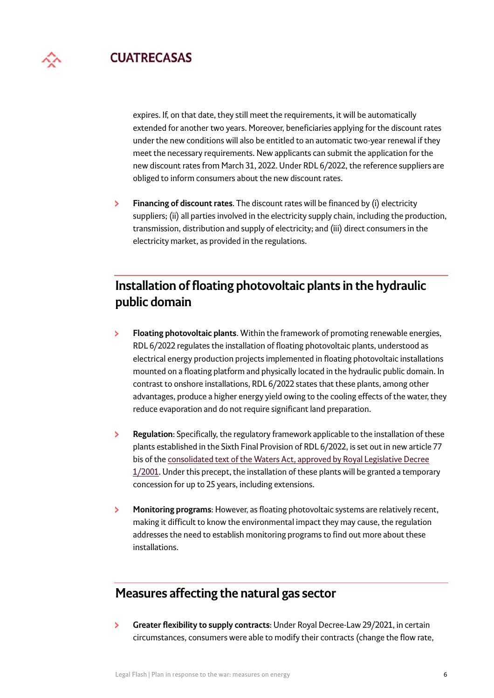expires. If, on that date, they still meet the requirements, it will be automatically extended for another two years. Moreover, beneficiaries applying for the discount rates under the new conditions will also be entitled to an automatic two-year renewal if they meet the necessary requirements. New applicants can submit the application for the new discount rates from March 31, 2022. Under RDL 6/2022, the reference suppliers are obliged to inform consumers about the new discount rates.

**Financing of discount rates**. The discount rates will be financed by (i) electricity  $\mathbf{v}$ suppliers; (ii) all parties involved in the electricity supply chain, including the production, transmission, distribution and supply of electricity; and (iii) direct consumers in the electricity market, as provided in the regulations.

# **Installation of floating photovoltaic plants in the hydraulic public domain**

- $\overline{\phantom{0}}$ **Floating photovoltaic plants**. Within the framework of promoting renewable energies, RDL 6/2022 regulates the installation of floating photovoltaic plants, understood as electrical energy production projects implemented in floating photovoltaic installations mounted on a floating platform and physically located in the hydraulic public domain. In contrast to onshore installations, RDL 6/2022 states that these plants, among other advantages, produce a higher energy yield owing to the cooling effects of the water, they reduce evaporation and do not require significant land preparation.
- У **Regulation**: Specifically, the regulatory framework applicable to the installation of these plants established in the Sixth Final Provision of RDL 6/2022, is set out in new article 77 bis of the [consolidated text of the Waters Act, approved by Royal Legislative Decree](https://www.boe.es/eli/es/rdlg/2001/07/20/1/con)  [1/2001](https://www.boe.es/eli/es/rdlg/2001/07/20/1/con). Under this precept, the installation of these plants will be granted a temporary concession for up to 25 years, including extensions.
- У **Monitoring programs**: However, as floating photovoltaic systems are relatively recent, making it difficult to know the environmental impact they may cause, the regulation addresses the need to establish monitoring programs to find out more about these installations.

# **Measures affecting the natural gas sector**

**Greater flexibility to supply contracts**: Under Royal Decree-Law 29/2021, in certain  $\overline{\phantom{1}}$ circumstances, consumers were able to modify their contracts (change the flow rate,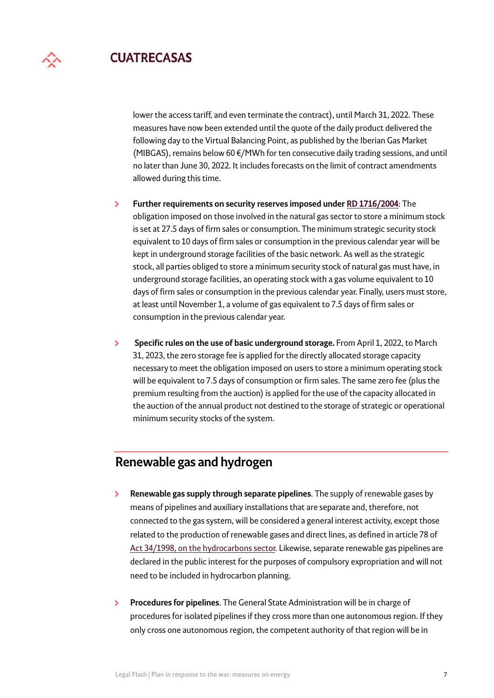lower the access tariff, and even terminate the contract), until March 31, 2022. These measures have now been extended until the quote of the daily product delivered the following day to the Virtual Balancing Point, as published by the Iberian Gas Market (MIBGAS), remains below 60  $\epsilon$ /MWh for ten consecutive daily trading sessions, and until no later than June 30, 2022. It includes forecasts on the limit of contract amendments allowed during this time.

- **Further requirements on security reserves imposed under [RD 1716/2004](https://www.boe.es/eli/es/rd/2004/07/23/1716/con)**: The  $\mathbf{v}$ obligation imposed on those involved in the natural gas sector to store a minimum stock is set at 27.5 days of firm sales or consumption. The minimum strategic security stock equivalent to 10 days of firm sales or consumption in the previous calendar year will be kept in underground storage facilities of the basic network. As well as the strategic stock, all parties obliged to store a minimum security stock of natural gas must have, in underground storage facilities, an operating stock with a gas volume equivalent to 10 days of firm sales or consumption in the previous calendar year. Finally, users must store, at least until November 1, a volume of gas equivalent to 7.5 days of firm sales or consumption in the previous calendar year.
- $\mathbf{S}$  **Specific rules on the use of basic underground storage.** From April 1, 2022, to March 31, 2023, the zero storage fee is applied for the directly allocated storage capacity necessary to meet the obligation imposed on users to store a minimum operating stock will be equivalent to 7.5 days of consumption or firm sales. The same zero fee (plus the premium resulting from the auction) is applied for the use of the capacity allocated in the auction of the annual product not destined to the storage of strategic or operational minimum security stocks of the system.

## **Renewable gas and hydrogen**

- **Renewable gas supply through separate pipelines**. The supply of renewable gases by  $\mathbf{E}$ means of pipelines and auxiliary installations that are separate and, therefore, not connected to the gas system, will be considered a general interest activity, except those related to the production of renewable gases and direct lines, as defined in article 78 of [Act 34/1998, on the hydrocarbons sector.](https://www.boe.es/eli/es/l/1998/10/07/34/con) Likewise, separate renewable gas pipelines are declared in the public interest for the purposes of compulsory expropriation and will not need to be included in hydrocarbon planning.
- **Procedures for pipelines**. The General State Administration will be in charge of  $\mathbf{E}$ procedures for isolated pipelines if they cross more than one autonomous region. If they only cross one autonomous region, the competent authority of that region will be in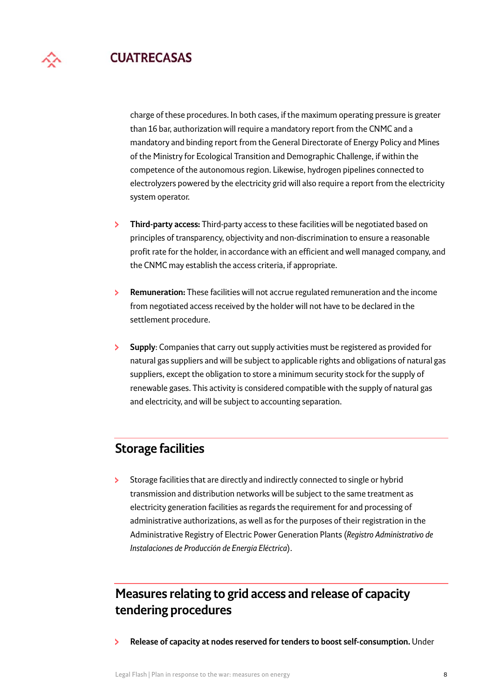charge of these procedures. In both cases, if the maximum operating pressure is greater than 16 bar, authorization will require a mandatory report from the CNMC and a mandatory and binding report from the General Directorate of Energy Policy and Mines of the Ministry for Ecological Transition and Demographic Challenge, if within the competence of the autonomous region. Likewise, hydrogen pipelines connected to electrolyzers powered by the electricity grid will also require a report from the electricity system operator.

- **Third-party access:** Third-party access to these facilities will be negotiated based on  $\mathbf{E}$ principles of transparency, objectivity and non-discrimination to ensure a reasonable profit rate for the holder, in accordance with an efficient and well managed company, and the CNMC may establish the access criteria, if appropriate.
- $\mathbf{S}$ **Remuneration:** These facilities will not accrue regulated remuneration and the income from negotiated access received by the holder will not have to be declared in the settlement procedure.
- $\mathbf{S}$ **Supply**: Companies that carry out supply activities must be registered as provided for natural gas suppliers and will be subject to applicable rights and obligations of natural gas suppliers, except the obligation to store a minimum security stock for the supply of renewable gases. This activity is considered compatible with the supply of natural gas and electricity, and will be subject to accounting separation.

### **Storage facilities**

Storage facilities that are directly and indirectly connected to single or hybrid  $\mathbf{S}^{\pm}$ transmission and distribution networks will be subject to the same treatment as electricity generation facilities as regards the requirement for and processing of administrative authorizations, as well as for the purposes of their registration in the Administrative Registry of Electric Power Generation Plants (*Registro Administrativo de Instalaciones de Producción de Energía Eléctrica*).

# **Measures relating to grid access and release of capacity tendering procedures**

 $\overline{\phantom{0}}$ **Release of capacity at nodes reserved for tenders to boost self-consumption.** Under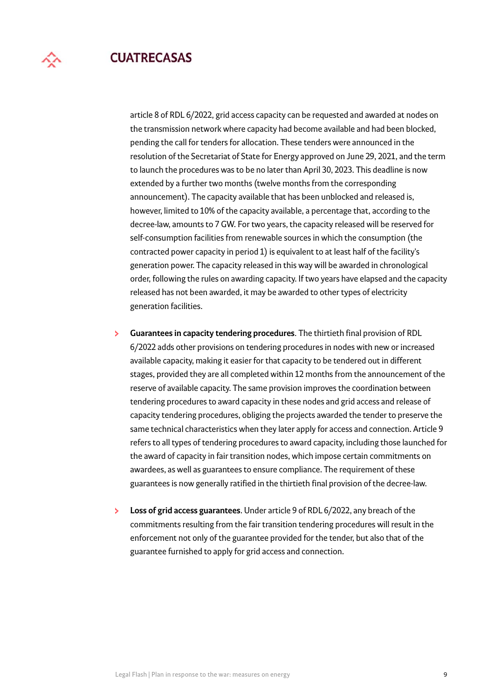

article 8 of RDL 6/2022, grid access capacity can be requested and awarded at nodes on the transmission network where capacity had become available and had been blocked, pending the call for tenders for allocation. These tenders were announced in the resolution of the Secretariat of State for Energy approved on June 29, 2021, and the term to launch the procedures was to be no later than April 30, 2023. This deadline is now extended by a further two months (twelve months from the corresponding announcement). The capacity available that has been unblocked and released is, however, limited to 10% of the capacity available, a percentage that, according to the decree-law, amounts to 7 GW. For two years, the capacity released will be reserved for self-consumption facilities from renewable sources in which the consumption (the contracted power capacity in period 1) is equivalent to at least half of the facility's generation power. The capacity released in this way will be awarded in chronological order, following the rules on awarding capacity. If two years have elapsed and the capacity released has not been awarded, it may be awarded to other types of electricity generation facilities.

- $\mathbf{S}^{\mathcal{A}}$ **Guarantees in capacity tendering procedures**. The thirtieth final provision of RDL 6/2022 adds other provisions on tendering procedures in nodes with new or increased available capacity, making it easier for that capacity to be tendered out in different stages, provided they are all completed within 12 months from the announcement of the reserve of available capacity. The same provision improves the coordination between tendering procedures to award capacity in these nodes and grid access and release of capacity tendering procedures, obliging the projects awarded the tender to preserve the same technical characteristics when they later apply for access and connection. Article 9 refers to all types of tendering procedures to award capacity, including those launched for the award of capacity in fair transition nodes, which impose certain commitments on awardees, as well as guarantees to ensure compliance. The requirement of these guarantees is now generally ratified in the thirtieth final provision of the decree-law.
- **Loss of grid access guarantees**. Under article 9 of RDL 6/2022, any breach of the  $\mathbf{E}$ commitments resulting from the fair transition tendering procedures will result in the enforcement not only of the guarantee provided for the tender, but also that of the guarantee furnished to apply for grid access and connection.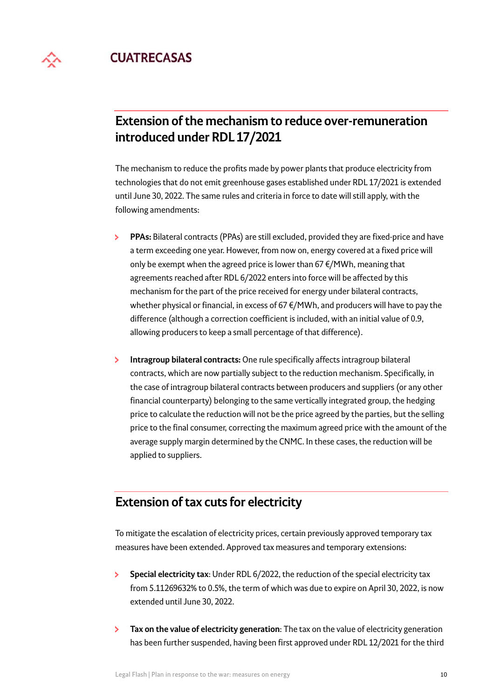

# **Extension of the mechanism to reduce over-remuneration introduced under RDL 17/2021**

The mechanism to reduce the profits made by power plants that produce electricity from technologies that do not emit greenhouse gases established under RDL 17/2021 is extended until June 30, 2022. The same rules and criteria in force to date will still apply, with the following amendments:

- **PPAs:** Bilateral contracts (PPAs) are still excluded, provided they are fixed-price and have  $\mathbf{E}$ a term exceeding one year. However, from now on, energy covered at a fixed price will only be exempt when the agreed price is lower than 67 €/MWh, meaning that agreements reached after RDL 6/2022 enters into force will be affected by this mechanism for the part of the price received for energy under bilateral contracts, whether physical or financial, in excess of 67 €/MWh, and producers will have to pay the difference (although a correction coefficient is included, with an initial value of 0.9, allowing producers to keep a small percentage of that difference).
- $\mathbf{S}$ **Intragroup bilateral contracts:** One rule specifically affects intragroup bilateral contracts, which are now partially subject to the reduction mechanism. Specifically, in the case of intragroup bilateral contracts between producers and suppliers (or any other financial counterparty) belonging to the same vertically integrated group, the hedging price to calculate the reduction will not be the price agreed by the parties, but the selling price to the final consumer, correcting the maximum agreed price with the amount of the average supply margin determined by the CNMC. In these cases, the reduction will be applied to suppliers.

### **Extension of tax cuts for electricity**

To mitigate the escalation of electricity prices, certain previously approved temporary tax measures have been extended. Approved tax measures and temporary extensions:

- $\mathbf{S}^{\pm}$ **Special electricity tax**: Under RDL 6/2022, the reduction of the special electricity tax from 5.11269632% to 0.5%, the term of which was due to expire on April 30, 2022, is now extended until June 30, 2022.
- $\mathbf{E}$ **Tax on the value of electricity generation**: The tax on the value of electricity generation has been further suspended, having been first approved under RDL 12/2021 for the third